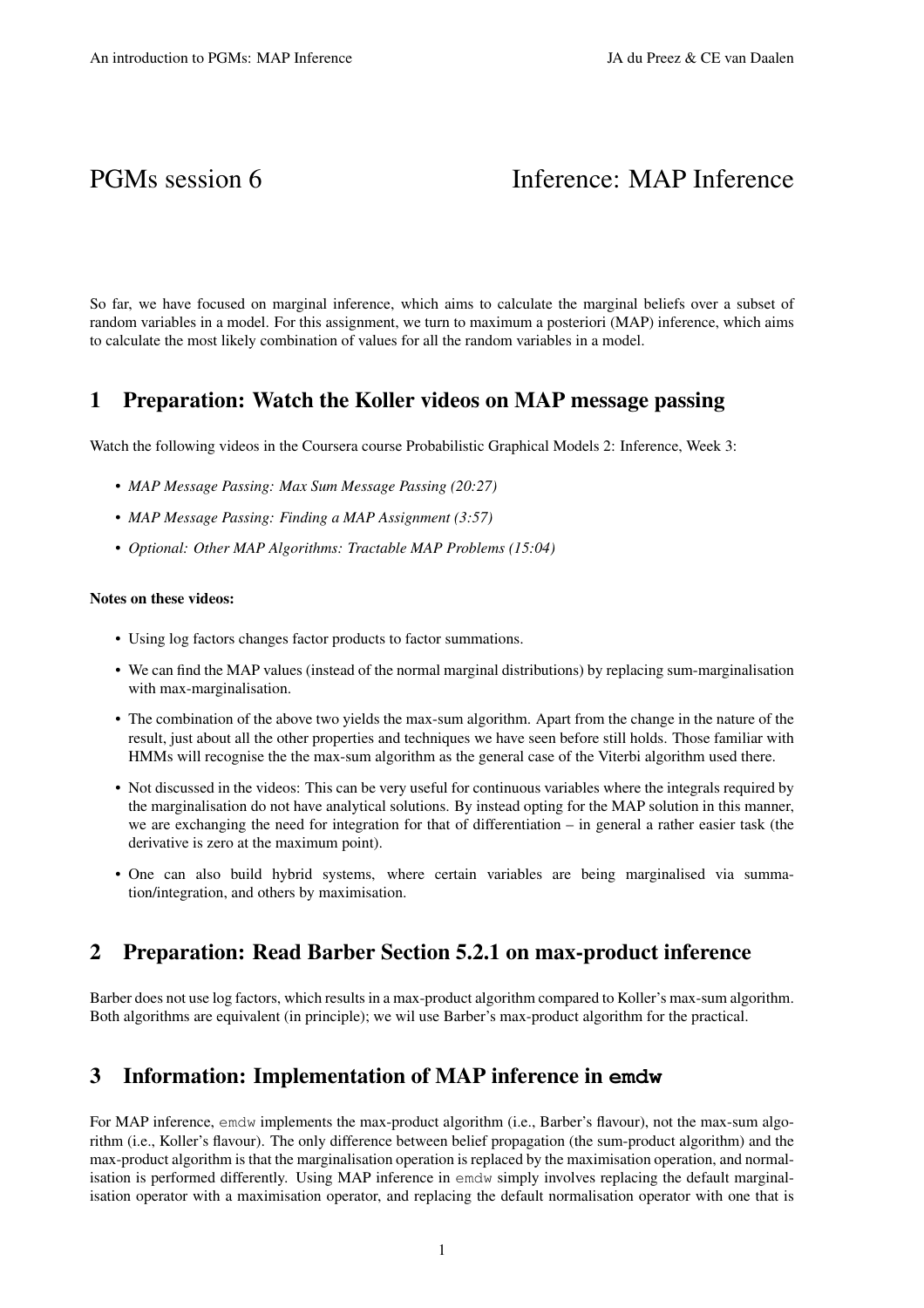# PGMs session 6 Inference: MAP Inference

So far, we have focused on marginal inference, which aims to calculate the marginal beliefs over a subset of random variables in a model. For this assignment, we turn to maximum a posteriori (MAP) inference, which aims to calculate the most likely combination of values for all the random variables in a model.

#### 1 Preparation: Watch the Koller videos on MAP message passing

Watch the following videos in the Coursera course Probabilistic Graphical Models 2: Inference, Week 3:

- *MAP Message Passing: Max Sum Message Passing (20:27)*
- *MAP Message Passing: Finding a MAP Assignment (3:57)*
- *Optional: Other MAP Algorithms: Tractable MAP Problems (15:04)*

#### Notes on these videos:

- Using log factors changes factor products to factor summations.
- We can find the MAP values (instead of the normal marginal distributions) by replacing sum-marginalisation with max-marginalisation.
- The combination of the above two yields the max-sum algorithm. Apart from the change in the nature of the result, just about all the other properties and techniques we have seen before still holds. Those familiar with HMMs will recognise the the max-sum algorithm as the general case of the Viterbi algorithm used there.
- Not discussed in the videos: This can be very useful for continuous variables where the integrals required by the marginalisation do not have analytical solutions. By instead opting for the MAP solution in this manner, we are exchanging the need for integration for that of differentiation – in general a rather easier task (the derivative is zero at the maximum point).
- One can also build hybrid systems, where certain variables are being marginalised via summation/integration, and others by maximisation.

## 2 Preparation: Read Barber Section 5.2.1 on max-product inference

Barber does not use log factors, which results in a max-product algorithm compared to Koller's max-sum algorithm. Both algorithms are equivalent (in principle); we wil use Barber's max-product algorithm for the practical.

## 3 Information: Implementation of MAP inference in **emdw**

For MAP inference, emdw implements the max-product algorithm (i.e., Barber's flavour), not the max-sum algorithm (i.e., Koller's flavour). The only difference between belief propagation (the sum-product algorithm) and the max-product algorithm is that the marginalisation operation is replaced by the maximisation operation, and normalisation is performed differently. Using MAP inference in emdw simply involves replacing the default marginalisation operator with a maximisation operator, and replacing the default normalisation operator with one that is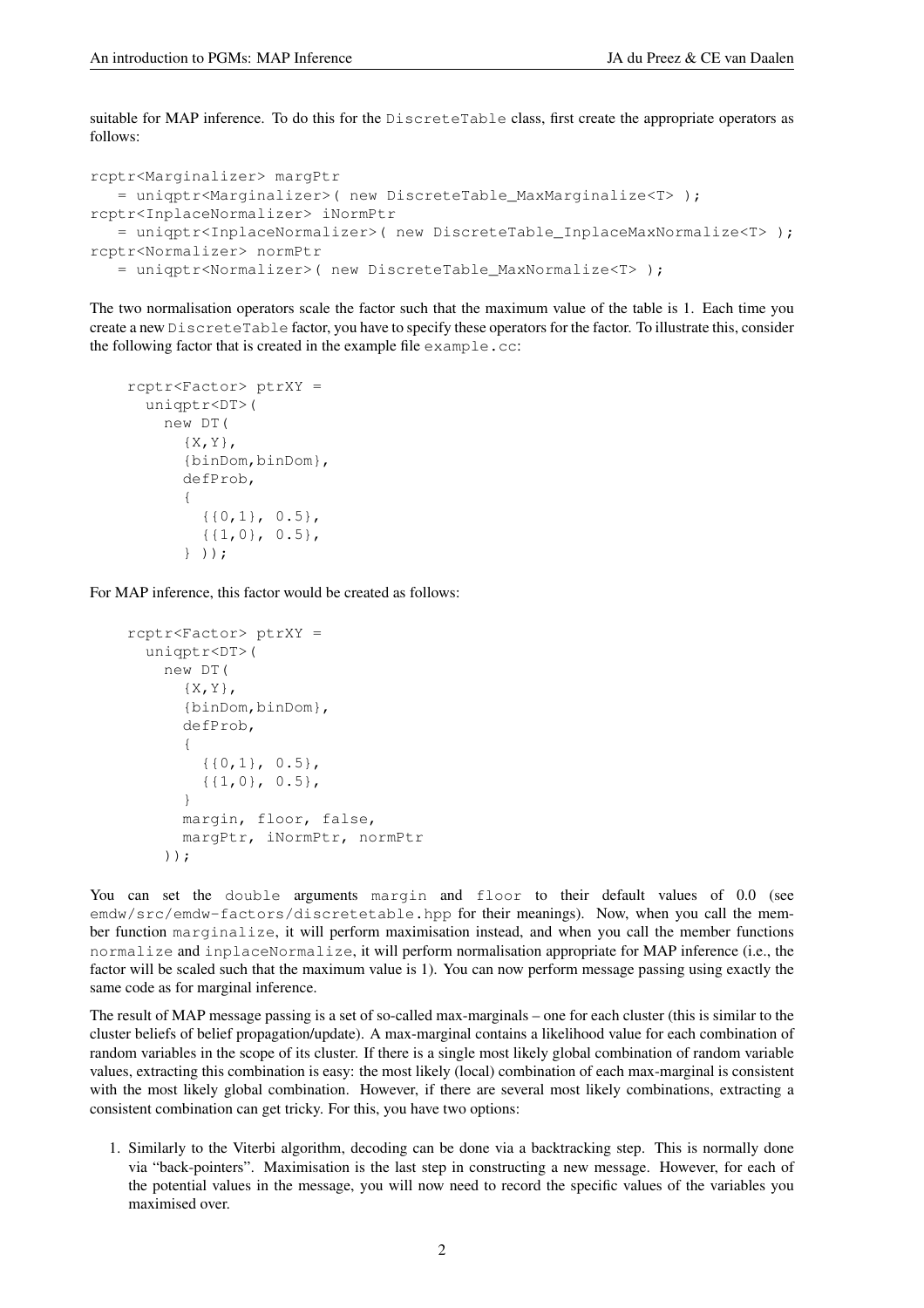suitable for MAP inference. To do this for the DiscreteTable class, first create the appropriate operators as follows:

```
rcptr<Marginalizer> margPtr
  = uniqptr<Marginalizer>( new DiscreteTable_MaxMarginalize<T> );
rcptr<InplaceNormalizer> iNormPtr
  = uniqptr<InplaceNormalizer>( new DiscreteTable_InplaceMaxNormalize<T> );
rcptr<Normalizer> normPtr
   = uniqptr<Normalizer>( new DiscreteTable_MaxNormalize<T> );
```
The two normalisation operators scale the factor such that the maximum value of the table is 1. Each time you create a new DiscreteTable factor, you have to specify these operators for the factor. To illustrate this, consider the following factor that is created in the example file example.cc:

```
rcptr<Factor> ptrXY =
  uniqptr<DT>(
    new DT(
      {X, Y},
      {binDom,binDom},
      defProb,
      {
        {{0,1}, 0.5},
        {{1,0}, 0.5},
      } ));
```
For MAP inference, this factor would be created as follows:

```
rcptr<Factor> ptrXY =
  uniqptr<DT>(
    new DT(
      {X,Y},{binDom,binDom},
      defProb,
      {
        {{0,1}, 0.5},
        {{1,0}, 0.5},
      }
      margin, floor, false,
      margPtr, iNormPtr, normPtr
    ));
```
You can set the double arguments margin and floor to their default values of 0.0 (see emdw/src/emdw-factors/discretetable.hpp for their meanings). Now, when you call the member function marginalize, it will perform maximisation instead, and when you call the member functions normalize and inplaceNormalize, it will perform normalisation appropriate for MAP inference (i.e., the factor will be scaled such that the maximum value is 1). You can now perform message passing using exactly the same code as for marginal inference.

The result of MAP message passing is a set of so-called max-marginals – one for each cluster (this is similar to the cluster beliefs of belief propagation/update). A max-marginal contains a likelihood value for each combination of random variables in the scope of its cluster. If there is a single most likely global combination of random variable values, extracting this combination is easy: the most likely (local) combination of each max-marginal is consistent with the most likely global combination. However, if there are several most likely combinations, extracting a consistent combination can get tricky. For this, you have two options:

1. Similarly to the Viterbi algorithm, decoding can be done via a backtracking step. This is normally done via "back-pointers". Maximisation is the last step in constructing a new message. However, for each of the potential values in the message, you will now need to record the specific values of the variables you maximised over.